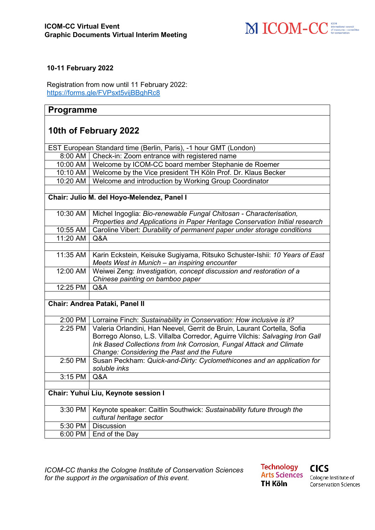

## **10-11 February 2022**

Registration from now until 11 February 2022: <https://forms.gle/FVPsxt5vijBBghRc8>

## **Programme**

## **10th of February 2022**

| EST European Standard time (Berlin, Paris), -1 hour GMT (London) |                                                                                |  |
|------------------------------------------------------------------|--------------------------------------------------------------------------------|--|
| 8:00 AM                                                          | Check-in: Zoom entrance with registered name                                   |  |
|                                                                  | 10:00 AM   Welcome by ICOM-CC board member Stephanie de Roemer                 |  |
|                                                                  | 10:10 AM   Welcome by the Vice president TH Köln Prof. Dr. Klaus Becker        |  |
| 10:20 AM                                                         | Welcome and introduction by Working Group Coordinator                          |  |
|                                                                  |                                                                                |  |
| Chair: Julio M. del Hoyo-Melendez, Panel I                       |                                                                                |  |
|                                                                  |                                                                                |  |
| 10:30 AM                                                         | Michel Ingoglia: Bio-renewable Fungal Chitosan - Characterisation,             |  |
|                                                                  | Properties and Applications in Paper Heritage Conservation Initial research    |  |
| 10:55 AM                                                         | Caroline Vibert: Durability of permanent paper under storage conditions        |  |
| 11:20 AM                                                         | Q&A                                                                            |  |
|                                                                  |                                                                                |  |
| 11:35 AM                                                         | Karin Eckstein, Keisuke Sugiyama, Ritsuko Schuster-Ishii: 10 Years of East     |  |
|                                                                  | Meets West in Munich - an inspiring encounter                                  |  |
| 12:00 AM                                                         | Weiwei Zeng: Investigation, concept discussion and restoration of a            |  |
|                                                                  | Chinese painting on bamboo paper                                               |  |
| 12:25 PM                                                         | Q&A                                                                            |  |
|                                                                  |                                                                                |  |
| Chair: Andrea Pataki, Panel II                                   |                                                                                |  |
|                                                                  |                                                                                |  |
|                                                                  | 2:00 PM   Lorraine Finch: Sustainability in Conservation: How inclusive is it? |  |
| 2:25 PM                                                          | Valeria Orlandini, Han Neevel, Gerrit de Bruin, Laurant Cortella, Sofia        |  |
|                                                                  | Borrego Alonso, L.S. Villalba Corredor, Aguirre Vilchis: Salvaging Iron Gall   |  |
|                                                                  | Ink Based Collections from Ink Corrosion, Fungal Attack and Climate            |  |
|                                                                  | Change: Considering the Past and the Future                                    |  |
| 2:50 PM                                                          | Susan Peckham: Quick-and-Dirty: Cyclomethicones and an application for         |  |
|                                                                  | soluble inks                                                                   |  |
| 3:15 PM                                                          | Q&A                                                                            |  |
|                                                                  |                                                                                |  |
| Chair: Yuhui Liu, Keynote session I                              |                                                                                |  |
| 3:30 PM                                                          | Keynote speaker: Caitlin Southwick: Sustainability future through the          |  |
|                                                                  | cultural heritage sector                                                       |  |
| 5:30 PM                                                          | <b>Discussion</b>                                                              |  |
| 6:00 PM                                                          | End of the Day                                                                 |  |

*ICOM-CC thanks the Cologne Institute of Conservation Sciences for the support in the organisation of this event*.

**Technology Arts Sciences TH Köln** 

**CICS** 

Cologne Institute of **Conservation Sciences**